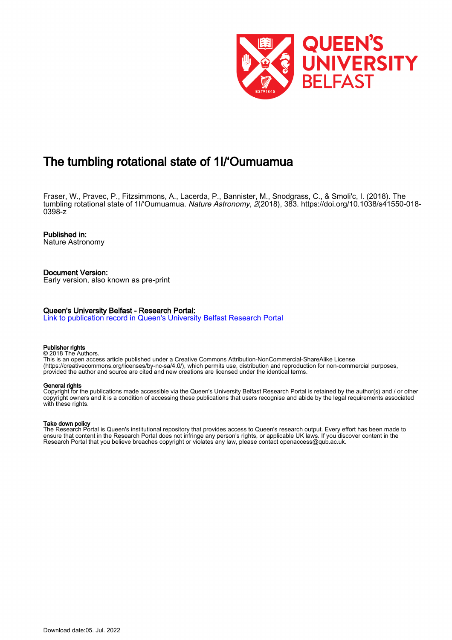

# The tumbling rotational state of 1I/'Oumuamua

Fraser, W., Pravec, P., Fitzsimmons, A., Lacerda, P., Bannister, M., Snodgrass, C., & Smoli'c, I. (2018). The tumbling rotational state of 1I/'Oumuamua. Nature Astronomy, 2(2018), 383. [https://doi.org/10.1038/s41550-018-](https://doi.org/10.1038/s41550-018-0398-z) [0398-z](https://doi.org/10.1038/s41550-018-0398-z)

## Published in:

Nature Astronomy

#### Document Version: Early version, also known as pre-print

### Queen's University Belfast - Research Portal:

[Link to publication record in Queen's University Belfast Research Portal](https://pure.qub.ac.uk/en/publications/cbcc0793-72c1-4f42-b78a-5bcdeff6274c)

#### Publisher rights

© 2018 The Authors. This is an open access article published under a Creative Commons Attribution-NonCommercial-ShareAlike License (https://creativecommons.org/licenses/by-nc-sa/4.0/), which permits use, distribution and reproduction for non-commercial purposes, provided the author and source are cited and new creations are licensed under the identical terms.

#### General rights

Copyright for the publications made accessible via the Queen's University Belfast Research Portal is retained by the author(s) and / or other copyright owners and it is a condition of accessing these publications that users recognise and abide by the legal requirements associated with these rights.

### Take down policy

The Research Portal is Queen's institutional repository that provides access to Queen's research output. Every effort has been made to ensure that content in the Research Portal does not infringe any person's rights, or applicable UK laws. If you discover content in the Research Portal that you believe breaches copyright or violates any law, please contact openaccess@qub.ac.uk.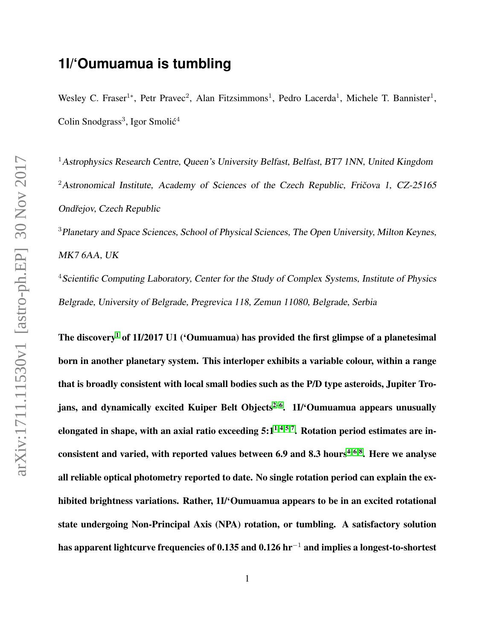# **1I/'Oumuamua is tumbling**

Wesley C. Fraser<sup>1\*</sup>, Petr Pravec<sup>2</sup>, Alan Fitzsimmons<sup>1</sup>, Pedro Lacerda<sup>1</sup>, Michele T. Bannister<sup>1</sup>, Colin Snodgrass<sup>3</sup>, Igor Smolić<sup>4</sup>

<sup>1</sup> Astrophysics Research Centre, Queen's University Belfast, Belfast, BT7 1NN, United Kingdom  $2$ Astronomical Institute, Academy of Sciences of the Czech Republic, Fričova 1, CZ-25165 Ondřejov, Czech Republic

<sup>3</sup> Planetary and Space Sciences, School of Physical Sciences, The Open University, Milton Keynes, MK7 6AA, UK

<sup>4</sup> Scientific Computing Laboratory, Center for the Study of Complex Systems, Institute of Physics Belgrade, University of Belgrade, Pregrevica 118, Zemun 11080, Belgrade, Serbia

The discovery<sup>[1](#page-9-0)</sup> of 1I/2017 U1 ('Oumuamua) has provided the first glimpse of a planetesimal born in another planetary system. This interloper exhibits a variable colour, within a range that is broadly consistent with local small bodies such as the P/D type asteroids, Jupiter Tro-jans, and dynamically excited Kuiper Belt Objects<sup>[2–](#page-9-1)[6](#page-9-2)</sup>. 1I/<sup>6</sup>Oumuamua appears unusually elongated in shape, with an axial ratio exceeding  $5:1^{1,4,5,7}$  $5:1^{1,4,5,7}$  $5:1^{1,4,5,7}$ . Rotation period estimates are in-consistent and varied, with reported values between 6.9 and 8.3 hours<sup>[4](#page-9-3)-6,8</sup>. Here we analyse all reliable optical photometry reported to date. No single rotation period can explain the exhibited brightness variations. Rather, 1I/'Oumuamua appears to be in an excited rotational state undergoing Non-Principal Axis (NPA) rotation, or tumbling. A satisfactory solution has apparent lightcurve frequencies of 0.135 and 0.126 hr<sup>-1</sup> and implies a longest-to-shortest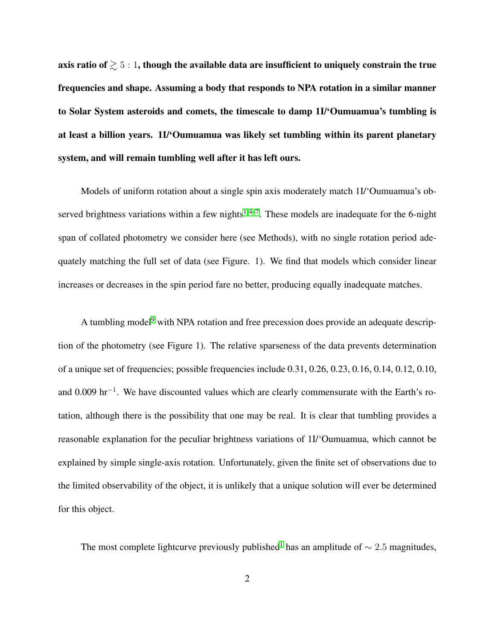axis ratio of  $\geq 5:1$ , though the available data are insufficient to uniquely constrain the true frequencies and shape. Assuming a body that responds to NPA rotation in a similar manner to Solar System asteroids and comets, the timescale to damp 1I/'Oumuamua's tumbling is at least a billion years. 1I/'Oumuamua was likely set tumbling within its parent planetary system, and will remain tumbling well after it has left ours.

Models of uniform rotation about a single spin axis moderately match 1I/'Oumuamua's ob-served brightness variations within a few nights<sup>[1,](#page-9-0)4[–7](#page-9-5)</sup>. These models are inadequate for the 6-night span of collated photometry we consider here (see Methods), with no single rotation period adequately matching the full set of data (see Figure. 1). We find that models which consider linear increases or decreases in the spin period fare no better, producing equally inadequate matches.

A tumbling model<sup>[9](#page-9-7)</sup> with NPA rotation and free precession does provide an adequate description of the photometry (see Figure 1). The relative sparseness of the data prevents determination of a unique set of frequencies; possible frequencies include 0.31, 0.26, 0.23, 0.16, 0.14, 0.12, 0.10, and 0.009 hr<sup>-1</sup>. We have discounted values which are clearly commensurate with the Earth's rotation, although there is the possibility that one may be real. It is clear that tumbling provides a reasonable explanation for the peculiar brightness variations of 1I/'Oumuamua, which cannot be explained by simple single-axis rotation. Unfortunately, given the finite set of observations due to the limited observability of the object, it is unlikely that a unique solution will ever be determined for this object.

The most complete lightcurve previously published<sup>[1](#page-9-0)</sup> has an amplitude of  $\sim$  2.5 magnitudes,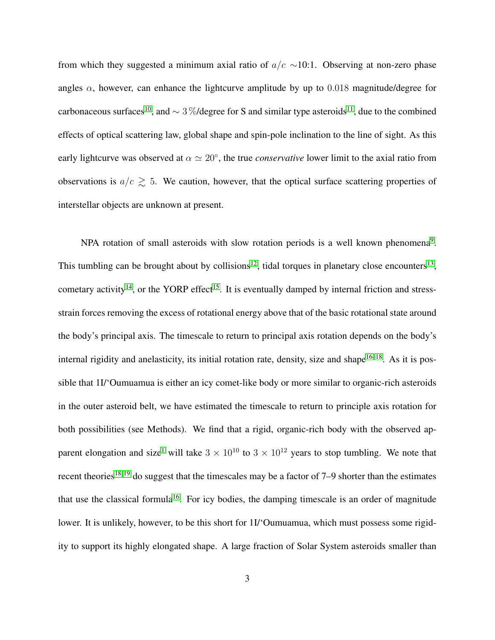from which they suggested a minimum axial ratio of  $a/c \sim 10:1$ . Observing at non-zero phase angles  $\alpha$ , however, can enhance the lightcurve amplitude by up to 0.018 magnitude/degree for carbonaceous surfaces<sup>[10](#page-10-0)</sup>, and ∼ 3%/degree for S and similar type asteroids<sup>[11](#page-10-1)</sup>, due to the combined effects of optical scattering law, global shape and spin-pole inclination to the line of sight. As this early lightcurve was observed at  $\alpha \simeq 20^{\circ}$ , the true *conservative* lower limit to the axial ratio from observations is  $a/c \geq 5$ . We caution, however, that the optical surface scattering properties of interstellar objects are unknown at present.

NPA rotation of small asteroids with slow rotation periods is a well known phenomena<sup>[9](#page-9-7)</sup>. This tumbling can be brought about by collisions<sup>[12](#page-10-2)</sup>, tidal torques in planetary close encounters<sup>[13](#page-10-3)</sup>, cometary activity<sup>[14](#page-10-4)</sup>, or the YORP effect<sup>[15](#page-10-5)</sup>. It is eventually damped by internal friction and stressstrain forces removing the excess of rotational energy above that of the basic rotational state around the body's principal axis. The timescale to return to principal axis rotation depends on the body's internal rigidity and anelasticity, its initial rotation rate, density, size and shape<sup>[16–](#page-10-6)[18](#page-10-7)</sup>. As it is possible that 1I/'Oumuamua is either an icy comet-like body or more similar to organic-rich asteroids in the outer asteroid belt, we have estimated the timescale to return to principle axis rotation for both possibilities (see Methods). We find that a rigid, organic-rich body with the observed ap-parent elongation and size<sup>[1](#page-9-0)</sup> will take  $3 \times 10^{10}$  to  $3 \times 10^{12}$  years to stop tumbling. We note that recent theories<sup>[18,](#page-10-7) [19](#page-11-0)</sup> do suggest that the timescales may be a factor of  $7-9$  shorter than the estimates that use the classical formula<sup>[16](#page-10-6)</sup>. For icy bodies, the damping timescale is an order of magnitude lower. It is unlikely, however, to be this short for 1I/'Oumuamua, which must possess some rigidity to support its highly elongated shape. A large fraction of Solar System asteroids smaller than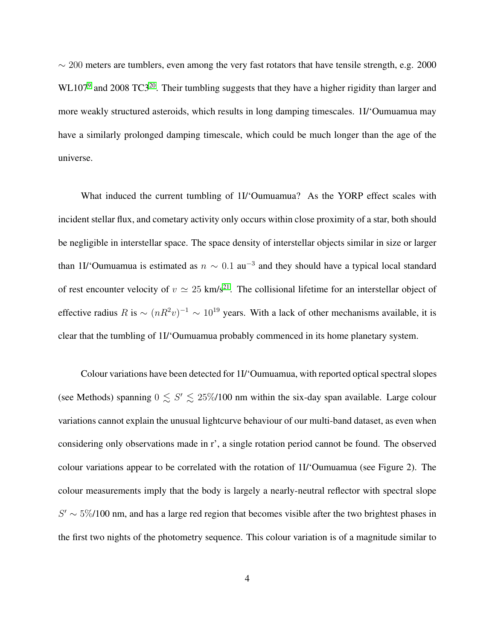$\sim$  200 meters are tumblers, even among the very fast rotators that have tensile strength, e.g. 2000  $WL107<sup>9</sup>$  $WL107<sup>9</sup>$  $WL107<sup>9</sup>$  and [20](#page-11-1)08 TC3<sup>20</sup>. Their tumbling suggests that they have a higher rigidity than larger and more weakly structured asteroids, which results in long damping timescales. 1I/'Oumuamua may have a similarly prolonged damping timescale, which could be much longer than the age of the universe.

What induced the current tumbling of 1I/'Oumuamua? As the YORP effect scales with incident stellar flux, and cometary activity only occurs within close proximity of a star, both should be negligible in interstellar space. The space density of interstellar objects similar in size or larger than 1I/'Oumuamua is estimated as  $n \sim 0.1$  au<sup>-3</sup> and they should have a typical local standard of rest encounter velocity of  $v \approx 25$  km/s<sup>[21](#page-11-2)</sup>. The collisional lifetime for an interstellar object of effective radius  $R$  is  $\sim (nR^2v)^{-1} \sim 10^{19}$  years. With a lack of other mechanisms available, it is clear that the tumbling of 1I/'Oumuamua probably commenced in its home planetary system.

Colour variations have been detected for 1I/'Oumuamua, with reported optical spectral slopes (see Methods) spanning  $0 \leq S' \leq 25\% / 100$  nm within the six-day span available. Large colour variations cannot explain the unusual lightcurve behaviour of our multi-band dataset, as even when considering only observations made in r', a single rotation period cannot be found. The observed colour variations appear to be correlated with the rotation of 1I/'Oumuamua (see Figure 2). The colour measurements imply that the body is largely a nearly-neutral reflector with spectral slope  $S' \sim 5\%/100$  nm, and has a large red region that becomes visible after the two brightest phases in the first two nights of the photometry sequence. This colour variation is of a magnitude similar to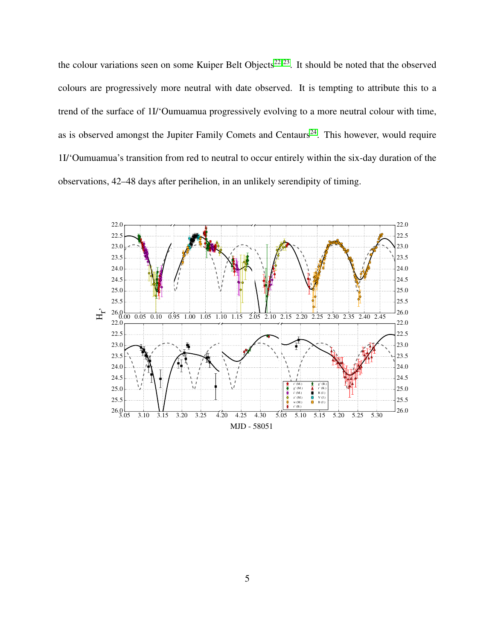the colour variations seen on some Kuiper Belt Objects<sup>[22,](#page-11-3) [23](#page-11-4)</sup>. It should be noted that the observed colours are progressively more neutral with date observed. It is tempting to attribute this to a trend of the surface of 1I/'Oumuamua progressively evolving to a more neutral colour with time, as is observed amongst the Jupiter Family Comets and Centaurs<sup>[24](#page-11-5)</sup>. This however, would require 1I/'Oumuamua's transition from red to neutral to occur entirely within the six-day duration of the observations, 42–48 days after perihelion, in an unlikely serendipity of timing.

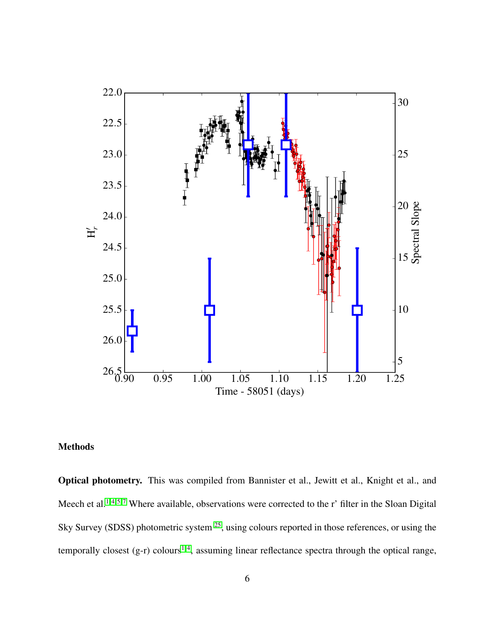

# Methods

Optical photometry. This was compiled from Bannister et al., Jewitt et al., Knight et al., and Meech et al.<sup>[1,](#page-9-0)4,5,7</sup> Where available, observations were corrected to the r' filter in the Sloan Digital Sky Survey (SDSS) photometric system <sup>[25](#page-11-6)</sup>, using colours reported in those references, or using the temporally closest  $(g-r)$  colours<sup>[1,](#page-9-0)4</sup>, assuming linear reflectance spectra through the optical range,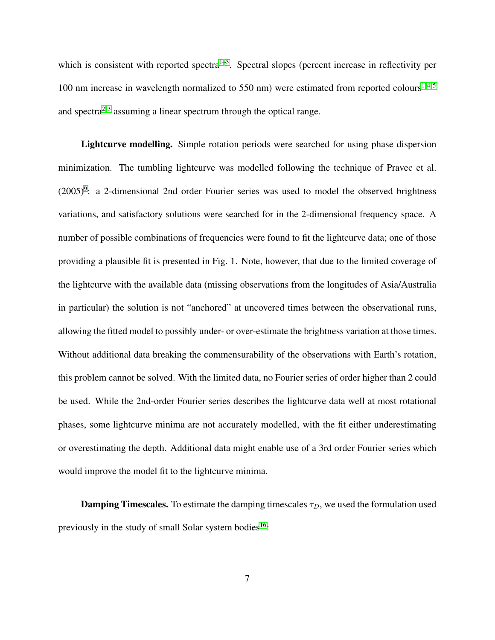which is consistent with reported spectra<sup> $1-3$  $1-3$ </sup>. Spectral slopes (percent increase in reflectivity per 100 nm increase in wavelength normalized to 550 nm) were estimated from reported colours<sup>[1,](#page-9-0)4,5</sup> and spectra<sup>[2,](#page-9-1) [3](#page-9-8)</sup> assuming a linear spectrum through the optical range.

Lightcurve modelling. Simple rotation periods were searched for using phase dispersion minimization. The tumbling lightcurve was modelled following the technique of Pravec et al.  $(2005)^9$  $(2005)^9$ : a 2-dimensional 2nd order Fourier series was used to model the observed brightness variations, and satisfactory solutions were searched for in the 2-dimensional frequency space. A number of possible combinations of frequencies were found to fit the lightcurve data; one of those providing a plausible fit is presented in Fig. 1. Note, however, that due to the limited coverage of the lightcurve with the available data (missing observations from the longitudes of Asia/Australia in particular) the solution is not "anchored" at uncovered times between the observational runs, allowing the fitted model to possibly under- or over-estimate the brightness variation at those times. Without additional data breaking the commensurability of the observations with Earth's rotation, this problem cannot be solved. With the limited data, no Fourier series of order higher than 2 could be used. While the 2nd-order Fourier series describes the lightcurve data well at most rotational phases, some lightcurve minima are not accurately modelled, with the fit either underestimating or overestimating the depth. Additional data might enable use of a 3rd order Fourier series which would improve the model fit to the lightcurve minima.

**Damping Timescales.** To estimate the damping timescales  $\tau_D$ , we used the formulation used previously in the study of small Solar system bodies<sup>[16](#page-10-6)</sup>: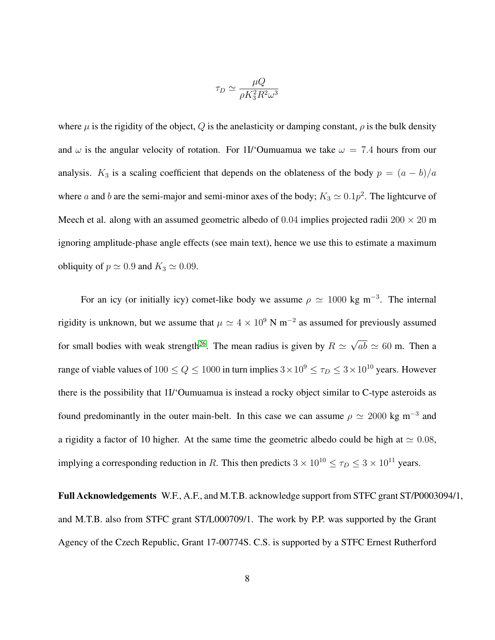$$
\tau_D \simeq \frac{\mu Q}{\rho K_3^2 R^2 \omega^3}
$$

where  $\mu$  is the rigidity of the object, Q is the anelasticity or damping constant,  $\rho$  is the bulk density and  $\omega$  is the angular velocity of rotation. For 1I/'Oumuamua we take  $\omega = 7.4$  hours from our analysis. K<sub>3</sub> is a scaling coefficient that depends on the oblateness of the body  $p = (a - b)/a$ where a and b are the semi-major and semi-minor axes of the body;  $K_3 \simeq 0.1p^2$ . The lightcurve of Meech et al. along with an assumed geometric albedo of 0.04 implies projected radii 200  $\times$  20 m ignoring amplitude-phase angle effects (see main text), hence we use this to estimate a maximum obliquity of  $p \simeq 0.9$  and  $K_3 \simeq 0.09$ .

For an icy (or initially icy) comet-like body we assume  $\rho \simeq 1000 \text{ kg m}^{-3}$ . The internal rigidity is unknown, but we assume that  $\mu \simeq 4 \times 10^9$  N m<sup>-2</sup> as assumed for previously assumed for small bodies with weak strength<sup>[26](#page-11-7)</sup>. The mean radius is given by  $R \simeq \sqrt{ab} \simeq 60$  m. Then a range of viable values of  $100 \le Q \le 1000$  in turn implies  $3 \times 10^9 \le \tau_D \le 3 \times 10^{10}$  years. However there is the possibility that 1I/'Oumuamua is instead a rocky object similar to C-type asteroids as found predominantly in the outer main-belt. In this case we can assume  $\rho \simeq 2000 \text{ kg m}^{-3}$  and a rigidity a factor of 10 higher. At the same time the geometric albedo could be high at  $\simeq 0.08$ , implying a corresponding reduction in R. This then predicts  $3 \times 10^{10} \le \tau_D \le 3 \times 10^{11}$  years.

Full Acknowledgements W.F., A.F., and M.T.B. acknowledge support from STFC grant ST/P0003094/1, and M.T.B. also from STFC grant ST/L000709/1. The work by P.P. was supported by the Grant Agency of the Czech Republic, Grant 17-00774S. C.S. is supported by a STFC Ernest Rutherford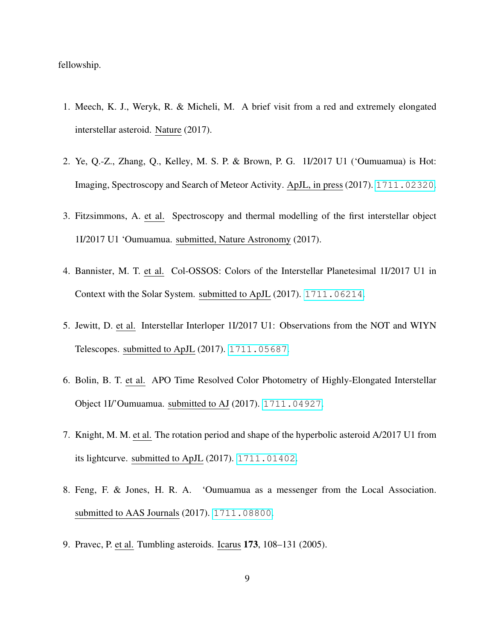fellowship.

- <span id="page-9-0"></span>1. Meech, K. J., Weryk, R. & Micheli, M. A brief visit from a red and extremely elongated interstellar asteroid. Nature (2017).
- <span id="page-9-1"></span>2. Ye, Q.-Z., Zhang, Q., Kelley, M. S. P. & Brown, P. G. 1I/2017 U1 ('Oumuamua) is Hot: Imaging, Spectroscopy and Search of Meteor Activity. ApJL, in press (2017). <1711.02320>.
- <span id="page-9-8"></span>3. Fitzsimmons, A. et al. Spectroscopy and thermal modelling of the first interstellar object 1I/2017 U1 'Oumuamua. submitted, Nature Astronomy (2017).
- <span id="page-9-3"></span>4. Bannister, M. T. et al. Col-OSSOS: Colors of the Interstellar Planetesimal 1I/2017 U1 in Context with the Solar System. submitted to ApJL (2017). <1711.06214>.
- <span id="page-9-4"></span>5. Jewitt, D. et al. Interstellar Interloper 1I/2017 U1: Observations from the NOT and WIYN Telescopes. submitted to ApJL (2017). <1711.05687>.
- <span id="page-9-2"></span>6. Bolin, B. T. et al. APO Time Resolved Color Photometry of Highly-Elongated Interstellar Object 1I/'Oumuamua. submitted to AJ (2017). <1711.04927>.
- <span id="page-9-5"></span>7. Knight, M. M. et al. The rotation period and shape of the hyperbolic asteroid A/2017 U1 from its lightcurve. submitted to ApJL (2017). <1711.01402>.
- <span id="page-9-6"></span>8. Feng, F. & Jones, H. R. A. 'Oumuamua as a messenger from the Local Association. submitted to AAS Journals (2017). <1711.08800>.
- <span id="page-9-7"></span>9. Pravec, P. et al. Tumbling asteroids. Icarus 173, 108–131 (2005).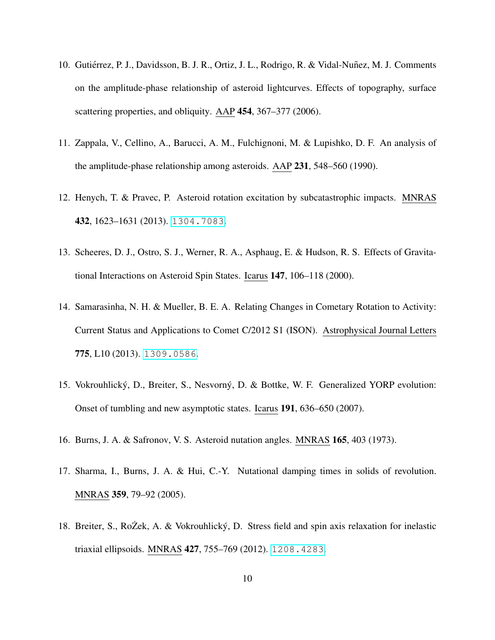- <span id="page-10-0"></span>10. Gutiérrez, P. J., Davidsson, B. J. R., Ortiz, J. L., Rodrigo, R. & Vidal-Nuñez, M. J. Comments on the amplitude-phase relationship of asteroid lightcurves. Effects of topography, surface scattering properties, and obliquity. AAP 454, 367–377 (2006).
- <span id="page-10-1"></span>11. Zappala, V., Cellino, A., Barucci, A. M., Fulchignoni, M. & Lupishko, D. F. An analysis of the amplitude-phase relationship among asteroids. AAP 231, 548–560 (1990).
- <span id="page-10-2"></span>12. Henych, T. & Pravec, P. Asteroid rotation excitation by subcatastrophic impacts. MNRAS 432, 1623–1631 (2013). <1304.7083>.
- <span id="page-10-3"></span>13. Scheeres, D. J., Ostro, S. J., Werner, R. A., Asphaug, E. & Hudson, R. S. Effects of Gravitational Interactions on Asteroid Spin States. Icarus 147, 106–118 (2000).
- <span id="page-10-4"></span>14. Samarasinha, N. H. & Mueller, B. E. A. Relating Changes in Cometary Rotation to Activity: Current Status and Applications to Comet C/2012 S1 (ISON). Astrophysical Journal Letters 775, L10 (2013). <1309.0586>.
- <span id="page-10-5"></span>15. Vokrouhlický, D., Breiter, S., Nesvorný, D. & Bottke, W. F. Generalized YORP evolution: Onset of tumbling and new asymptotic states. Icarus 191, 636–650 (2007).
- <span id="page-10-6"></span>16. Burns, J. A. & Safronov, V. S. Asteroid nutation angles. MNRAS 165, 403 (1973).
- 17. Sharma, I., Burns, J. A. & Hui, C.-Y. Nutational damping times in solids of revolution. MNRAS 359, 79–92 (2005).
- <span id="page-10-7"></span>18. Breiter, S., Ro $\overline{Z}$ ek, A. & Vokrouhlický, D. Stress field and spin axis relaxation for inelastic triaxial ellipsoids. MNRAS 427, 755–769 (2012). <1208.4283>.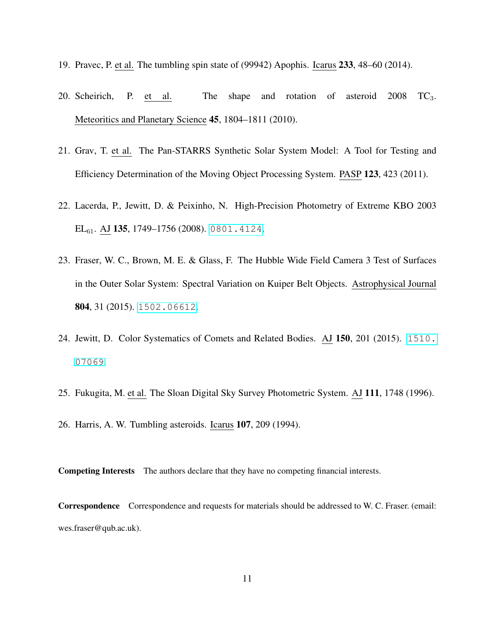- <span id="page-11-1"></span><span id="page-11-0"></span>19. Pravec, P. et al. The tumbling spin state of (99942) Apophis. Icarus 233, 48–60 (2014).
- 20. Scheirich, P. et al. The shape and rotation of asteroid 2008 TC3. Meteoritics and Planetary Science 45, 1804–1811 (2010).
- <span id="page-11-2"></span>21. Grav, T. et al. The Pan-STARRS Synthetic Solar System Model: A Tool for Testing and Efficiency Determination of the Moving Object Processing System. PASP 123, 423 (2011).
- <span id="page-11-3"></span>22. Lacerda, P., Jewitt, D. & Peixinho, N. High-Precision Photometry of Extreme KBO 2003 EL<sub>61</sub>. AJ **135**, 1749–1756 (2008). <0801.4124>.
- <span id="page-11-4"></span>23. Fraser, W. C., Brown, M. E. & Glass, F. The Hubble Wide Field Camera 3 Test of Surfaces in the Outer Solar System: Spectral Variation on Kuiper Belt Objects. Astrophysical Journal 804, 31 (2015). <1502.06612>.
- <span id="page-11-5"></span>24. Jewitt, D. Color Systematics of Comets and Related Bodies. AJ 150, 201 (2015). [1510.](1510.07069) [07069](1510.07069).
- <span id="page-11-7"></span><span id="page-11-6"></span>25. Fukugita, M. et al. The Sloan Digital Sky Survey Photometric System. AJ 111, 1748 (1996).
- 26. Harris, A. W. Tumbling asteroids. Icarus 107, 209 (1994).

Competing Interests The authors declare that they have no competing financial interests.

Correspondence Correspondence and requests for materials should be addressed to W. C. Fraser. (email: wes.fraser@qub.ac.uk).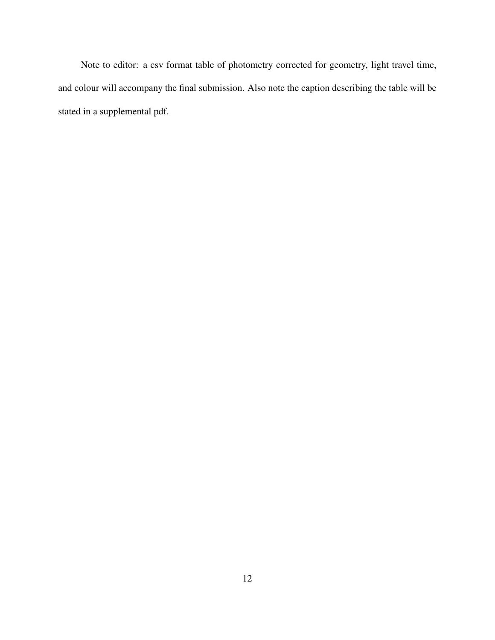Note to editor: a csv format table of photometry corrected for geometry, light travel time, and colour will accompany the final submission. Also note the caption describing the table will be stated in a supplemental pdf.